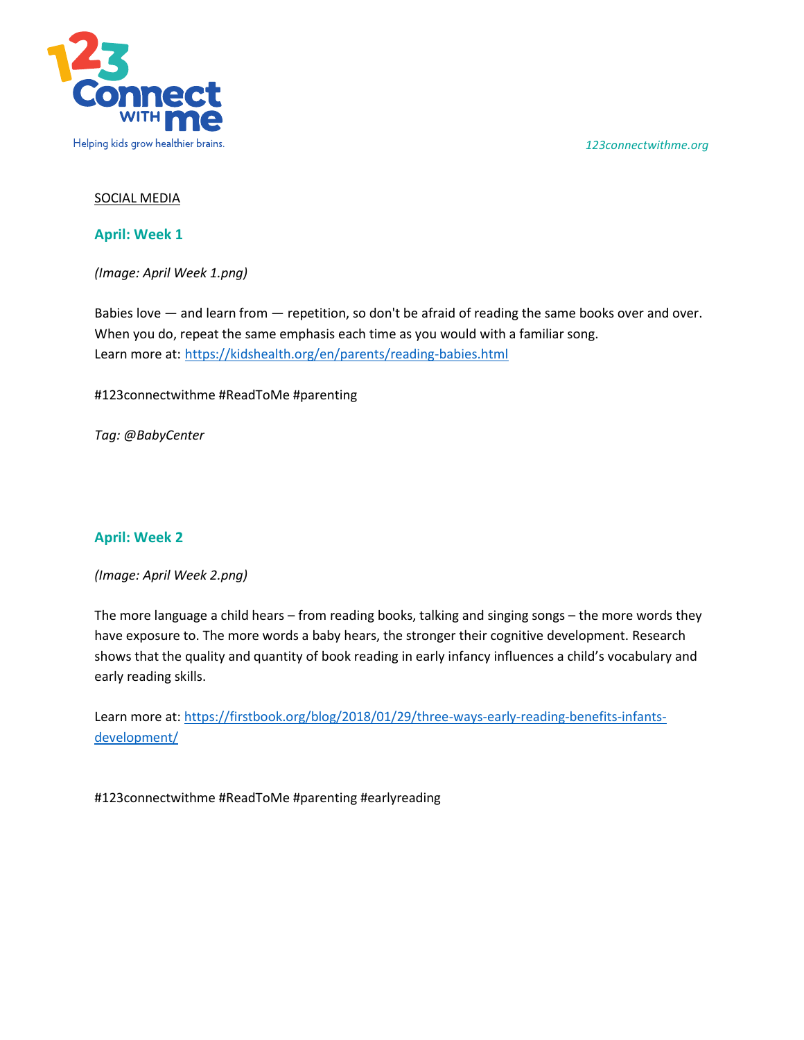*123connectwithme.org*



## SOCIAL MEDIA

**April: Week 1**

*(Image: April Week 1.png)* 

Babies love — and learn from — repetition, so don't be afraid of reading the same books over and over. When you do, repeat the same emphasis each time as you would with a familiar song. Learn more at: <https://kidshealth.org/en/parents/reading-babies.html>

#123connectwithme #ReadToMe #parenting

*Tag: @BabyCenter*

## **April: Week 2**

*(Image: April Week 2.png)* 

The more language a child hears – from reading books, talking and singing songs – the more words they have exposure to. The more words a baby hears, the stronger their cognitive development. Research shows that the quality and quantity of book reading in early infancy influences a child's vocabulary and early reading skills.

Learn more at: [https://firstbook.org/blog/2018/01/29/three-ways-early-reading-benefits-infants](https://firstbook.org/blog/2018/01/29/three-ways-early-reading-benefits-infants-development/)[development/](https://firstbook.org/blog/2018/01/29/three-ways-early-reading-benefits-infants-development/)

#123connectwithme #ReadToMe #parenting #earlyreading